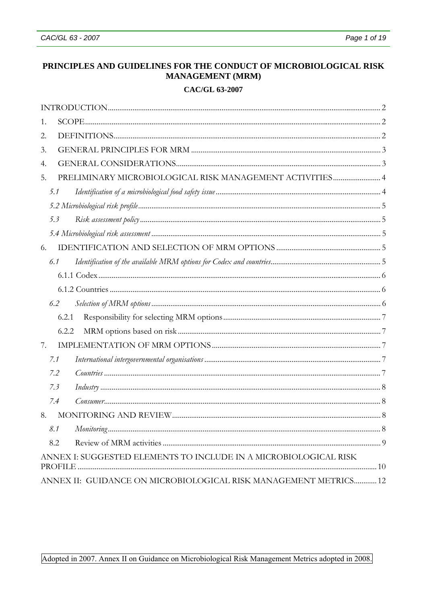# PRINCIPLES AND GUIDELINES FOR THE CONDUCT OF MICROBIOLOGICAL RISK **MANAGEMENT (MRM)**

# CAC/GL 63-2007

| 1.                                                               |  |
|------------------------------------------------------------------|--|
| 2.                                                               |  |
| 3.                                                               |  |
| 4.                                                               |  |
| PRELIMINARY MICROBIOLOGICAL RISK MANAGEMENT ACTIVITIES 4<br>5.   |  |
| 5.1                                                              |  |
|                                                                  |  |
| 5.3                                                              |  |
|                                                                  |  |
| 6.                                                               |  |
| 6.1                                                              |  |
|                                                                  |  |
|                                                                  |  |
| 6.2                                                              |  |
| 6.2.1                                                            |  |
| 6.2.2                                                            |  |
| 7.                                                               |  |
| 7.1                                                              |  |
| 7.2                                                              |  |
| 7.3                                                              |  |
| 7.4                                                              |  |
| 8.                                                               |  |
| 8.1                                                              |  |
| 8.2                                                              |  |
| ANNEX I: SUGGESTED ELEMENTS TO INCLUDE IN A MICROBIOLOGICAL RISK |  |
| ANNEX II: GUIDANCE ON MICROBIOLOGICAL RISK MANAGEMENT METRICS 12 |  |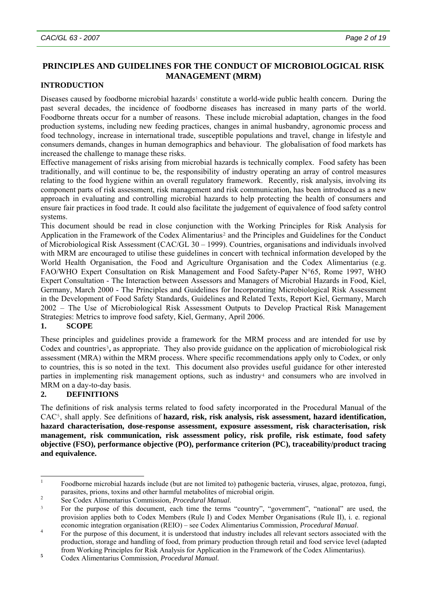# <span id="page-1-0"></span>**PRINCIPLES AND GUIDELINES FOR THE CONDUCT OF MICROBIOLOGICAL RISK MANAGEMENT (MRM)**

### **INTRODUCTION**

Diseases caused by foodborne microbial hazards<sup>[1](#page-1-1)</sup> constitute a world-wide public health concern. During the past several decades, the incidence of foodborne diseases has increased in many parts of the world. Foodborne threats occur for a number of reasons. These include microbial adaptation, changes in the food production systems, including new feeding practices, changes in animal husbandry, agronomic process and food technology, increase in international trade, susceptible populations and travel, change in lifestyle and consumers demands, changes in human demographics and behaviour. The globalisation of food markets has increased the challenge to manage these risks.

Effective management of risks arising from microbial hazards is technically complex. Food safety has been traditionally, and will continue to be, the responsibility of industry operating an array of control measures relating to the food hygiene within an overall regulatory framework. Recently, risk analysis, involving its component parts of risk assessment, risk management and risk communication, has been introduced as a new approach in evaluating and controlling microbial hazards to help protecting the health of consumers and ensure fair practices in food trade. It could also facilitate the judgement of equivalence of food safety control systems.

This document should be read in close conjunction with the Working Principles for Risk Analysis for Application in the Framework of the Codex Alimentarius[2](#page-1-2) and the Principles and Guidelines for the Conduct of Microbiological Risk Assessment (CAC/GL 30 – 1999). Countries, organisations and individuals involved with MRM are encouraged to utilise these guidelines in concert with technical information developed by the World Health Organisation, the Food and Agriculture Organisation and the Codex Alimentarius (e.g. FAO/WHO Expert Consultation on Risk Management and Food Safety-Paper N°65, Rome 1997, WHO Expert Consultation - The Interaction between Assessors and Managers of Microbial Hazards in Food, Kiel, Germany, March 2000 - The Principles and Guidelines for Incorporating Microbiological Risk Assessment in the Development of Food Safety Standards, Guidelines and Related Texts, Report Kiel, Germany, March 2002 – The Use of Microbiological Risk Assessment Outputs to Develop Practical Risk Management Strategies: Metrics to improve food safety, Kiel, Germany, April 2006.

# **1. SCOPE**

These principles and guidelines provide a framework for the MRM process and are intended for use by Codex and countries<sup>[3](#page-1-3)</sup>, as appropriate. They also provide guidance on the application of microbiological risk assessment (MRA) within the MRM process. Where specific recommendations apply only to Codex, or only to countries, this is so noted in the text. This document also provides useful guidance for other interested parties in implementing risk management options, such as industry<sup>[4](#page-1-4)</sup> and consumers who are involved in MRM on a day-to-day basis.

# **2. DEFINITIONS**

The definitions of risk analysis terms related to food safety incorporated in the Procedural Manual of the CAC[5](#page-1-5), shall apply. See definitions of **hazard, risk, risk analysis, risk assessment, hazard identification, hazard characterisation, dose-response assessment, exposure assessment, risk characterisation, risk management, risk communication, risk assessment policy, risk profile, risk estimate, food safety objective (FSO), performance objective (PO), performance criterion (PC), traceability/product tracing and equivalence.** 

<span id="page-1-1"></span> $\overline{1}$ 1 Foodborne microbial hazards include (but are not limited to) pathogenic bacteria, viruses, algae, protozoa, fungi, parasites, prions, toxins and other harmful metabolites of microbial origin. 2

<span id="page-1-2"></span>See Codex Alimentarius Commission, *Procedural Manual*.

<span id="page-1-3"></span><sup>&</sup>lt;sup>3</sup> For the purpose of this document, each time the terms "country", "government", "national" are used, the provision applies both to Codex Members (Rule I) and Codex Member Organisations (Rule II), i. e. regional

<span id="page-1-4"></span>economic integration organisation (REIO) – see Codex Alimentarius Commission, *Procedural Manual*.<br><sup>4</sup> For the purpose of this document, it is understood that industry includes all relevant sectors associated with the production, storage and handling of food, from primary production through retail and food service level (adapted from Working Principles for Risk Analysis for Application in the Framework of the Codex Alimentarius). **<sup>5</sup>**

<span id="page-1-5"></span>Codex Alimentarius Commission, *Procedural Manual.*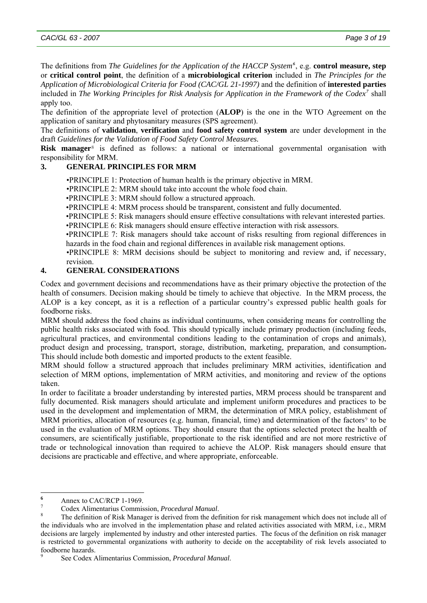<span id="page-2-0"></span>The definitions from *The Guidelines for the Application of the HACCP System[6](#page-2-1)* , e.g. **control measure, step**  or **critical control point**, the definition of a **microbiological criterion** included in *The Principles for the Application of Microbiological Criteria for Food (CAC/GL 21-1997)* and the definition of **interested parties** 

included in *The Working Principles for Risk Analysis for Application in the Framework of the Codex[7](#page-2-2)* shall apply too.

The definition of the appropriate level of protection (**ALOP**) is the one in the WTO Agreement on the application of sanitary and phytosanitary measures (SPS agreement).

The definitions of **validation**, **verification** and **food safety control system** are under development in the draft *Guidelines for the Validation of Food Safety Control Measures.*

**Risk manager**[8](#page-2-3) is defined as follows: a national or international governmental organisation with responsibility for MRM.

### **3. GENERAL PRINCIPLES FOR MRM**

•PRINCIPLE 1: Protection of human health is the primary objective in MRM.

•PRINCIPLE 2: MRM should take into account the whole food chain.

•PRINCIPLE 3: MRM should follow a structured approach.

•PRINCIPLE 4: MRM process should be transparent, consistent and fully documented.

•PRINCIPLE 5: Risk managers should ensure effective consultations with relevant interested parties.

•PRINCIPLE 6: Risk managers should ensure effective interaction with risk assessors.

 •PRINCIPLE 7: Risk managers should take account of risks resulting from regional differences in hazards in the food chain and regional differences in available risk management options.

 •PRINCIPLE 8: MRM decisions should be subject to monitoring and review and, if necessary, revision.

# **4. GENERAL CONSIDERATIONS**

Codex and government decisions and recommendations have as their primary objective the protection of the health of consumers. Decision making should be timely to achieve that objective. In the MRM process, the ALOP is a key concept, as it is a reflection of a particular country's expressed public health goals for foodborne risks.

MRM should address the food chains as individual continuums, when considering means for controlling the public health risks associated with food. This should typically include primary production (including feeds, agricultural practices, and environmental conditions leading to the contamination of crops and animals), product design and processing, transport, storage, distribution, marketing, preparation, and consumption. This should include both domestic and imported products to the extent feasible.

MRM should follow a structured approach that includes preliminary MRM activities, identification and selection of MRM options, implementation of MRM activities, and monitoring and review of the options taken.

In order to facilitate a broader understanding by interested parties, MRM process should be transparent and fully documented. Risk managers should articulate and implement uniform procedures and practices to be used in the development and implementation of MRM, the determination of MRA policy, establishment of MRM priorities, allocation of resources (e.g. human, financial, time) and determination of the factors<sup>[9](#page-2-4)</sup> to be used in the evaluation of MRM options. They should ensure that the options selected protect the health of consumers, are scientifically justifiable, proportionate to the risk identified and are not more restrictive of trade or technological innovation than required to achieve the ALOP. Risk managers should ensure that decisions are practicable and effective, and where appropriate, enforceable.

 **6**  $\frac{6}{7}$  Annex to CAC/RCP 1-1969.

<span id="page-2-2"></span><span id="page-2-1"></span><sup>7</sup> Codex Alimentarius Commission, *Procedural Manual*. 8

<span id="page-2-3"></span>The definition of Risk Manager is derived from the definition for risk management which does not include all of the individuals who are involved in the implementation phase and related activities associated with MRM, i.e., MRM decisions are largely implemented by industry and other interested parties. The focus of the definition on risk manager is restricted to governmental organizations with authority to decide on the acceptability of risk levels associated to foodborne hazards. 9

<span id="page-2-4"></span>See Codex Alimentarius Commission, *Procedural Manual*.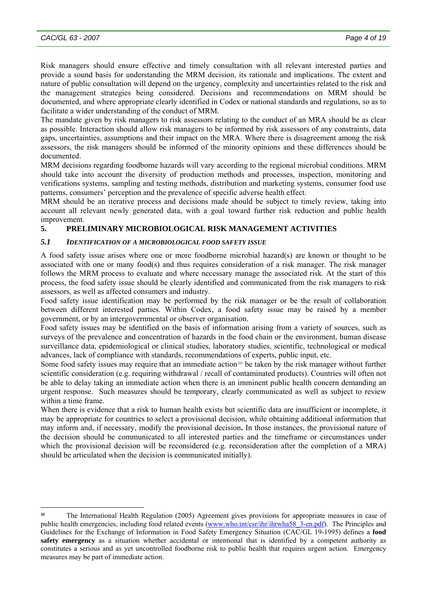<span id="page-3-0"></span>Risk managers should ensure effective and timely consultation with all relevant interested parties and provide a sound basis for understanding the MRM decision, its rationale and implications. The extent and nature of public consultation will depend on the urgency, complexity and uncertainties related to the risk and the management strategies being considered. Decisions and recommendations on MRM should be documented, and where appropriate clearly identified in Codex or national standards and regulations, so as to facilitate a wider understanding of the conduct of MRM.

The mandate given by risk managers to risk assessors relating to the conduct of an MRA should be as clear as possible. Interaction should allow risk managers to be informed by risk assessors of any constraints, data gaps, uncertainties, assumptions and their impact on the MRA. Where there is disagreement among the risk assessors, the risk managers should be informed of the minority opinions and these differences should be documented.

MRM decisions regarding foodborne hazards will vary according to the regional microbial conditions. MRM should take into account the diversity of production methods and processes, inspection, monitoring and verifications systems, sampling and testing methods, distribution and marketing systems, consumer food use patterns, consumers' perception and the prevalence of specific adverse health effect.

MRM should be an iterative process and decisions made should be subject to timely review, taking into account all relevant newly generated data, with a goal toward further risk reduction and public health improvement.

# **5. PRELIMINARY MICROBIOLOGICAL RISK MANAGEMENT ACTIVITIES**

### *5.1 IDENTIFICATION OF A MICROBIOLOGICAL FOOD SAFETY ISSUE*

A food safety issue arises where one or more foodborne microbial hazard(s) are known or thought to be associated with one or many food(s) and thus requires consideration of a risk manager. The risk manager follows the MRM process to evaluate and where necessary manage the associated risk. At the start of this process, the food safety issue should be clearly identified and communicated from the risk managers to risk assessors, as well as affected consumers and industry.

Food safety issue identification may be performed by the risk manager or be the result of collaboration between different interested parties. Within Codex, a food safety issue may be raised by a member government, or by an intergovernmental or observer organisation.

Food safety issues may be identified on the basis of information arising from a variety of sources, such as surveys of the prevalence and concentration of hazards in the food chain or the environment, human disease surveillance data, epidemiological or clinical studies, laboratory studies, scientific, technological or medical advances, lack of compliance with standards, recommendations of experts, public input, etc.

Some food safety issues may require that an immediate action<sup>[10](#page-3-1)</sup> be taken by the risk manager without further scientific consideration (e.g. requiring withdrawal / recall of contaminated products). Countries will often not be able to delay taking an immediate action when there is an imminent public health concern demanding an urgent response. Such measures should be temporary, clearly communicated as well as subject to review within a time frame.

When there is evidence that a risk to human health exists but scientific data are insufficient or incomplete, it may be appropriate for countries to select a provisional decision, while obtaining additional information that may inform and, if necessary, modify the provisional decision**.** In those instances, the provisional nature of the decision should be communicated to all interested parties and the timeframe or circumstances under which the provisional decision will be reconsidered (e.g. reconsideration after the completion of a MRA) should be articulated when the decision is communicated initially).

<span id="page-3-1"></span>l **<sup>10</sup>** The International Health Regulation (2005) Agreement gives provisions for appropriate measures in case of public health emergencies, including food related events ([www.who.int/csr/ihr/ihrwha58\\_3-en.pdf\)](http://www.who.int/csr/ihr/ihrwha58_3-en.pdf). The Principles and Guidelines for the Exchange of Information in Food Safety Emergency Situation (CAC/GL 19-1995) defines a **food safety emergency** as a situation whether accidental or intentional that is identified by a competent authority as constitutes a serious and as yet uncontrolled foodborne risk to public health that requires urgent action. Emergency measures may be part of immediate action.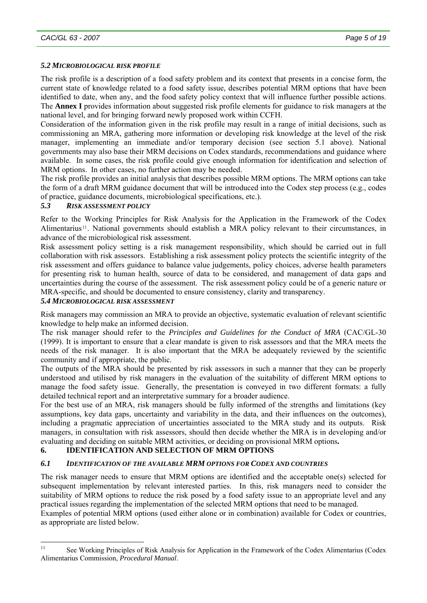### <span id="page-4-0"></span>*5.2 MICROBIOLOGICAL RISK PROFILE*

The risk profile is a description of a food safety problem and its context that presents in a concise form, the current state of knowledge related to a food safety issue, describes potential MRM options that have been identified to date, when any, and the food safety policy context that will influence further possible actions. The **Annex I** provides information about suggested risk profile elements for guidance to risk managers at the national level, and for bringing forward newly proposed work within CCFH.

Consideration of the information given in the risk profile may result in a range of initial decisions, such as commissioning an MRA, gathering more information or developing risk knowledge at the level of the risk manager, implementing an immediate and/or temporary decision (see section 5.1 above). National governments may also base their MRM decisions on Codex standards, recommendations and guidance where available. In some cases, the risk profile could give enough information for identification and selection of MRM options. In other cases, no further action may be needed.

The risk profile provides an initial analysis that describes possible MRM options. The MRM options can take the form of a draft MRM guidance document that will be introduced into the Codex step process (e.g., codes of practice, guidance documents, microbiological specifications, etc.).

### *5.3 RISK ASSESSMENT POLICY*

Refer to the Working Principles for Risk Analysis for the Application in the Framework of the Codex Alimentarius<sup>[11](#page-4-1)</sup>. National governments should establish a MRA policy relevant to their circumstances, in advance of the microbiological risk assessment.

Risk assessment policy setting is a risk management responsibility, which should be carried out in full collaboration with risk assessors. Establishing a risk assessment policy protects the scientific integrity of the risk assessment and offers guidance to balance value judgements, policy choices, adverse health parameters for presenting risk to human health, source of data to be considered, and management of data gaps and uncertainties during the course of the assessment. The risk assessment policy could be of a generic nature or MRA-specific, and should be documented to ensure consistency, clarity and transparency.

### *5.4 MICROBIOLOGICAL RISK ASSESSMENT*

Risk managers may commission an MRA to provide an objective, systematic evaluation of relevant scientific knowledge to help make an informed decision.

The risk manager should refer to the *Principles and Guidelines for the Conduct of MRA* (CAC/GL-30 (1999). It is important to ensure that a clear mandate is given to risk assessors and that the MRA meets the needs of the risk manager. It is also important that the MRA be adequately reviewed by the scientific community and if appropriate, the public.

The outputs of the MRA should be presented by risk assessors in such a manner that they can be properly understood and utilised by risk managers in the evaluation of the suitability of different MRM options to manage the food safety issue. Generally, the presentation is conveyed in two different formats: a fully detailed technical report and an interpretative summary for a broader audience.

For the best use of an MRA, risk managers should be fully informed of the strengths and limitations (key assumptions, key data gaps, uncertainty and variability in the data, and their influences on the outcomes), including a pragmatic appreciation of uncertainties associated to the MRA study and its outputs. Risk managers, in consultation with risk assessors, should then decide whether the MRA is in developing and/or evaluating and deciding on suitable MRM activities, or deciding on provisional MRM options**.** 

### **6. IDENTIFICATION AND SELECTION OF MRM OPTIONS**

# *6.1 IDENTIFICATION OF THE AVAILABLE MRM OPTIONS FOR CODEX AND COUNTRIES*

The risk manager needs to ensure that MRM options are identified and the acceptable one(s) selected for subsequent implementation by relevant interested parties. In this, risk managers need to consider the suitability of MRM options to reduce the risk posed by a food safety issue to an appropriate level and any practical issues regarding the implementation of the selected MRM options that need to be managed.

Examples of potential MRM options (used either alone or in combination) available for Codex or countries, as appropriate are listed below.

<span id="page-4-1"></span> $11$ See Working Principles of Risk Analysis for Application in the Framework of the Codex Alimentarius (Codex Alimentarius Commission, *Procedural Manual*.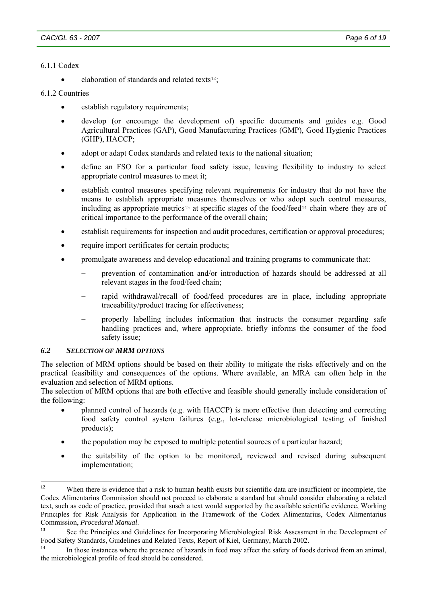### <span id="page-5-0"></span>6.1.1 Codex

• elaboration of standards and related texts<sup>[12](#page-5-1)</sup>;

### 6.1.2 Countries

- establish regulatory requirements:
- develop (or encourage the development of) specific documents and guides e.g. Good Agricultural Practices (GAP), Good Manufacturing Practices (GMP), Good Hygienic Practices (GHP), HACCP;
- adopt or adapt Codex standards and related texts to the national situation;
- define an FSO for a particular food safety issue, leaving flexibility to industry to select appropriate control measures to meet it;
- establish control measures specifying relevant requirements for industry that do not have the means to establish appropriate measures themselves or who adopt such control measures, including as appropriate metrics<sup>[13](#page-5-2)</sup> at specific stages of the food/feed<sup>[14](#page-5-3)</sup> chain where they are of critical importance to the performance of the overall chain;
- establish requirements for inspection and audit procedures, certification or approval procedures;
- require import certificates for certain products;
- promulgate awareness and develop educational and training programs to communicate that:
	- − prevention of contamination and/or introduction of hazards should be addressed at all relevant stages in the food/feed chain;
	- − rapid withdrawal/recall of food/feed procedures are in place, including appropriate traceability/product tracing for effectiveness;
	- − properly labelling includes information that instructs the consumer regarding safe handling practices and, where appropriate, briefly informs the consumer of the food safety issue;

### *6.2 SELECTION OF MRM OPTIONS*

The selection of MRM options should be based on their ability to mitigate the risks effectively and on the practical feasibility and consequences of the options. Where available, an MRA can often help in the evaluation and selection of MRM options.

The selection of MRM options that are both effective and feasible should generally include consideration of the following:

- planned control of hazards (e.g. with HACCP) is more effective than detecting and correcting food safety control system failures (e.g., lot-release microbiological testing of finished products);
- the population may be exposed to multiple potential sources of a particular hazard;
- the suitability of the option to be monitored, reviewed and revised during subsequent implementation;

<span id="page-5-1"></span> $12<sup>12</sup>$ **<sup>12</sup>** When there is evidence that a risk to human health exists but scientific data are insufficient or incomplete, the Codex Alimentarius Commission should not proceed to elaborate a standard but should consider elaborating a related text, such as code of practice, provided that susch a text would supported by the available scientific evidence, Working Principles for Risk Analysis for Application in the Framework of the Codex Alimentarius, Codex Alimentarius Commission, *Procedural Manual*.

<span id="page-5-2"></span>**<sup>13</sup>** See the Principles and Guidelines for Incorporating Microbiological Risk Assessment in the Development of Food Safety Standards, Guidelines and Related Texts, Report of Kiel, Germany, March 2002.<br><sup>14</sup> In those instances where the presence of hazards in feed may affect the safety of foods derived from an animal,

<span id="page-5-3"></span>the microbiological profile of feed should be considered.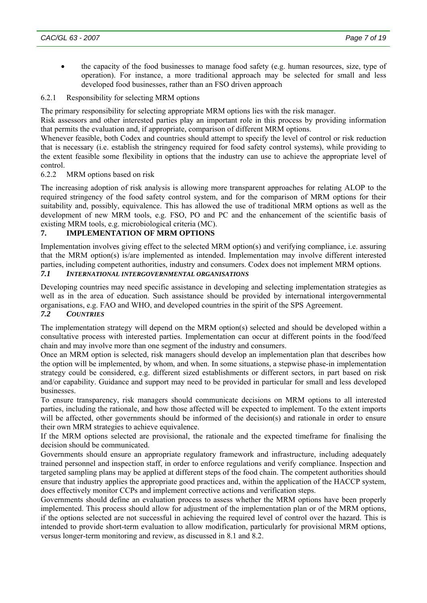<span id="page-6-0"></span>the capacity of the food businesses to manage food safety (e.g. human resources, size, type of operation). For instance, a more traditional approach may be selected for small and less developed food businesses, rather than an FSO driven approach

### 6.2.1 Responsibility for selecting MRM options

The primary responsibility for selecting appropriate MRM options lies with the risk manager.

Risk assessors and other interested parties play an important role in this process by providing information that permits the evaluation and, if appropriate, comparison of different MRM options.

Whenever feasible, both Codex and countries should attempt to specify the level of control or risk reduction that is necessary (i.e. establish the stringency required for food safety control systems), while providing to the extent feasible some flexibility in options that the industry can use to achieve the appropriate level of control.

### 6.2.2 MRM options based on risk

The increasing adoption of risk analysis is allowing more transparent approaches for relating ALOP to the required stringency of the food safety control system, and for the comparison of MRM options for their suitability and, possibly, equivalence. This has allowed the use of traditional MRM options as well as the development of new MRM tools, e.g. FSO, PO and PC and the enhancement of the scientific basis of existing MRM tools, e.g. microbiological criteria (MC).

### **7. IMPLEMENTATION OF MRM OPTIONS**

Implementation involves giving effect to the selected MRM option(s) and verifying compliance, i.e. assuring that the MRM option(s) is/are implemented as intended. Implementation may involve different interested parties, including competent authorities, industry and consumers. Codex does not implement MRM options. *7.1 INTERNATIONAL INTERGOVERNMENTAL ORGANISATIONS* 

Developing countries may need specific assistance in developing and selecting implementation strategies as well as in the area of education. Such assistance should be provided by international intergovernmental organisations, e.g. FAO and WHO, and developed countries in the spirit of the SPS Agreement.

### *7.2 COUNTRIES*

The implementation strategy will depend on the MRM option(s) selected and should be developed within a consultative process with interested parties. Implementation can occur at different points in the food/feed chain and may involve more than one segment of the industry and consumers.

Once an MRM option is selected, risk managers should develop an implementation plan that describes how the option will be implemented, by whom, and when. In some situations, a stepwise phase-in implementation strategy could be considered, e.g. different sized establishments or different sectors, in part based on risk and/or capability. Guidance and support may need to be provided in particular for small and less developed businesses.

To ensure transparency, risk managers should communicate decisions on MRM options to all interested parties, including the rationale, and how those affected will be expected to implement. To the extent imports will be affected, other governments should be informed of the decision(s) and rationale in order to ensure their own MRM strategies to achieve equivalence.

If the MRM options selected are provisional, the rationale and the expected timeframe for finalising the decision should be communicated.

Governments should ensure an appropriate regulatory framework and infrastructure, including adequately trained personnel and inspection staff, in order to enforce regulations and verify compliance. Inspection and targeted sampling plans may be applied at different steps of the food chain. The competent authorities should ensure that industry applies the appropriate good practices and, within the application of the HACCP system, does effectively monitor CCPs and implement corrective actions and verification steps.

Governments should define an evaluation process to assess whether the MRM options have been properly implemented. This process should allow for adjustment of the implementation plan or of the MRM options, if the options selected are not successful in achieving the required level of control over the hazard. This is intended to provide short-term evaluation to allow modification, particularly for provisional MRM options, versus longer-term monitoring and review, as discussed in 8.1 and 8.2.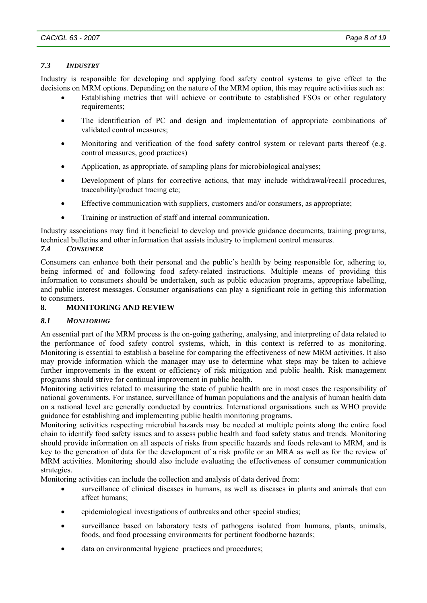### <span id="page-7-0"></span>*7.3 INDUSTRY*

Industry is responsible for developing and applying food safety control systems to give effect to the decisions on MRM options. Depending on the nature of the MRM option, this may require activities such as:

- Establishing metrics that will achieve or contribute to established FSOs or other regulatory requirements:
- The identification of PC and design and implementation of appropriate combinations of validated control measures;
- Monitoring and verification of the food safety control system or relevant parts thereof (e.g. control measures, good practices)
- Application, as appropriate, of sampling plans for microbiological analyses;
- Development of plans for corrective actions, that may include withdrawal/recall procedures, traceability/product tracing etc;
- Effective communication with suppliers, customers and/or consumers, as appropriate;
- Training or instruction of staff and internal communication.

Industry associations may find it beneficial to develop and provide guidance documents, training programs, technical bulletins and other information that assists industry to implement control measures.

### *7.4 CONSUMER*

Consumers can enhance both their personal and the public's health by being responsible for, adhering to, being informed of and following food safety-related instructions. Multiple means of providing this information to consumers should be undertaken, such as public education programs, appropriate labelling, and public interest messages. Consumer organisations can play a significant role in getting this information to consumers.

### **8. MONITORING AND REVIEW**

### *8.1 MONITORING*

An essential part of the MRM process is the on-going gathering, analysing, and interpreting of data related to the performance of food safety control systems, which, in this context is referred to as monitoring. Monitoring is essential to establish a baseline for comparing the effectiveness of new MRM activities. It also may provide information which the manager may use to determine what steps may be taken to achieve further improvements in the extent or efficiency of risk mitigation and public health. Risk management programs should strive for continual improvement in public health.

Monitoring activities related to measuring the state of public health are in most cases the responsibility of national governments. For instance, surveillance of human populations and the analysis of human health data on a national level are generally conducted by countries. International organisations such as WHO provide guidance for establishing and implementing public health monitoring programs.

Monitoring activities respecting microbial hazards may be needed at multiple points along the entire food chain to identify food safety issues and to assess public health and food safety status and trends. Monitoring should provide information on all aspects of risks from specific hazards and foods relevant to MRM, and is key to the generation of data for the development of a risk profile or an MRA as well as for the review of MRM activities. Monitoring should also include evaluating the effectiveness of consumer communication strategies.

Monitoring activities can include the collection and analysis of data derived from:

- surveillance of clinical diseases in humans, as well as diseases in plants and animals that can affect humans;
- epidemiological investigations of outbreaks and other special studies;
- surveillance based on laboratory tests of pathogens isolated from humans, plants, animals, foods, and food processing environments for pertinent foodborne hazards;
- data on environmental hygiene practices and procedures;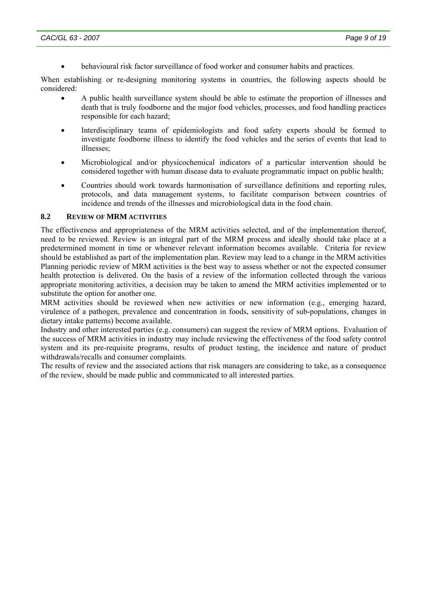• behavioural risk factor surveillance of food worker and consumer habits and practices.

<span id="page-8-0"></span>When establishing or re-designing monitoring systems in countries, the following aspects should be considered:

- A public health surveillance system should be able to estimate the proportion of illnesses and death that is truly foodborne and the major food vehicles, processes, and food handling practices responsible for each hazard;
- Interdisciplinary teams of epidemiologists and food safety experts should be formed to investigate foodborne illness to identify the food vehicles and the series of events that lead to illnesses;
- Microbiological and/or physicochemical indicators of a particular intervention should be considered together with human disease data to evaluate programmatic impact on public health;
- Countries should work towards harmonisation of surveillance definitions and reporting rules, protocols, and data management systems, to facilitate comparison between countries of incidence and trends of the illnesses and microbiological data in the food chain.

#### **8.2 REVIEW OF MRM ACTIVITIES**

The effectiveness and appropriateness of the MRM activities selected, and of the implementation thereof, need to be reviewed. Review is an integral part of the MRM process and ideally should take place at a predetermined moment in time or whenever relevant information becomes available. Criteria for review should be established as part of the implementation plan. Review may lead to a change in the MRM activities Planning periodic review of MRM activities is the best way to assess whether or not the expected consumer health protection is delivered. On the basis of a review of the information collected through the various appropriate monitoring activities, a decision may be taken to amend the MRM activities implemented or to substitute the option for another one.

MRM activities should be reviewed when new activities or new information (e.g., emerging hazard, virulence of a pathogen, prevalence and concentration in foods, sensitivity of sub-populations, changes in dietary intake patterns) become available.

Industry and other interested parties (e.g. consumers) can suggest the review of MRM options. Evaluation of the success of MRM activities in industry may include reviewing the effectiveness of the food safety control system and its pre-requisite programs, results of product testing, the incidence and nature of product withdrawals/recalls and consumer complaints.

The results of review and the associated actions that risk managers are considering to take, as a consequence of the review, should be made public and communicated to all interested parties.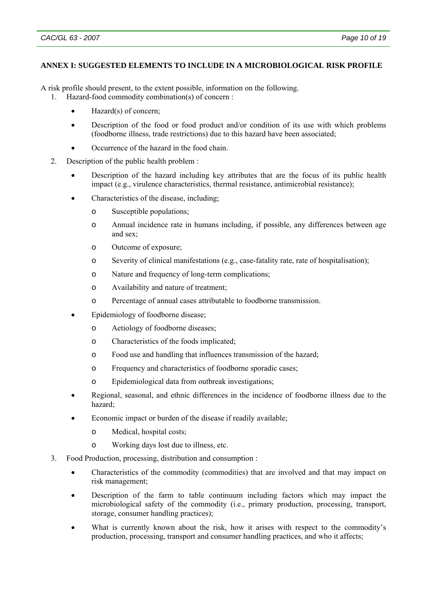### <span id="page-9-0"></span>**ANNEX I: SUGGESTED ELEMENTS TO INCLUDE IN A MICROBIOLOGICAL RISK PROFILE**

A risk profile should present, to the extent possible, information on the following. 1. Hazard-food commodity combination(s) of concern :

- Hazard(s) of concern;
- Description of the food or food product and/or condition of its use with which problems (foodborne illness, trade restrictions) due to this hazard have been associated;
- Occurrence of the hazard in the food chain.
- 2. Description of the public health problem :
	- Description of the hazard including key attributes that are the focus of its public health impact (e.g., virulence characteristics, thermal resistance, antimicrobial resistance);
	- Characteristics of the disease, including;
		- o Susceptible populations;
		- o Annual incidence rate in humans including, if possible, any differences between age and sex;
		- o Outcome of exposure;
		- o Severity of clinical manifestations (e.g., case-fatality rate, rate of hospitalisation);
		- o Nature and frequency of long-term complications;
		- o Availability and nature of treatment;
		- o Percentage of annual cases attributable to foodborne transmission.
	- Epidemiology of foodborne disease;
		- o Aetiology of foodborne diseases;
		- o Characteristics of the foods implicated;
		- o Food use and handling that influences transmission of the hazard;
		- o Frequency and characteristics of foodborne sporadic cases;
		- o Epidemiological data from outbreak investigations;
	- Regional, seasonal, and ethnic differences in the incidence of foodborne illness due to the hazard;
	- Economic impact or burden of the disease if readily available;
		- o Medical, hospital costs;
		- o Working days lost due to illness, etc.
- 3. Food Production, processing, distribution and consumption :
	- Characteristics of the commodity (commodities) that are involved and that may impact on risk management;
	- Description of the farm to table continuum including factors which may impact the microbiological safety of the commodity (i.e., primary production, processing, transport, storage, consumer handling practices);
	- What is currently known about the risk, how it arises with respect to the commodity's production, processing, transport and consumer handling practices, and who it affects;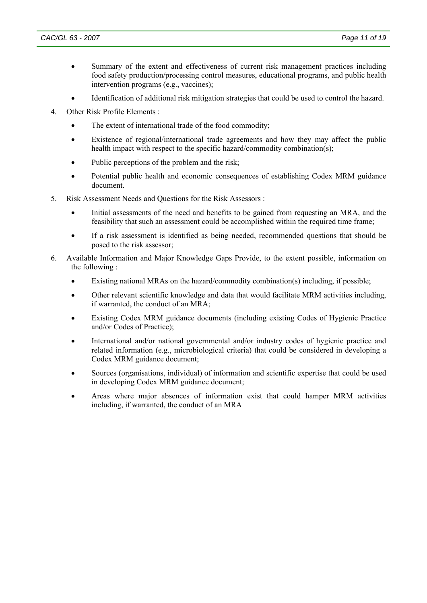- Summary of the extent and effectiveness of current risk management practices including food safety production/processing control measures, educational programs, and public health intervention programs (e.g., vaccines);
- Identification of additional risk mitigation strategies that could be used to control the hazard.
- 4. Other Risk Profile Elements :
	- The extent of international trade of the food commodity;
	- Existence of regional/international trade agreements and how they may affect the public health impact with respect to the specific hazard/commodity combination(s):
	- Public perceptions of the problem and the risk;
	- Potential public health and economic consequences of establishing Codex MRM guidance document.
- 5. Risk Assessment Needs and Questions for the Risk Assessors :
	- Initial assessments of the need and benefits to be gained from requesting an MRA, and the feasibility that such an assessment could be accomplished within the required time frame;
	- If a risk assessment is identified as being needed, recommended questions that should be posed to the risk assessor;
- 6. Available Information and Major Knowledge Gaps Provide, to the extent possible, information on the following :
	- Existing national MRAs on the hazard/commodity combination(s) including, if possible;
	- Other relevant scientific knowledge and data that would facilitate MRM activities including, if warranted, the conduct of an MRA;
	- Existing Codex MRM guidance documents (including existing Codes of Hygienic Practice and/or Codes of Practice);
	- International and/or national governmental and/or industry codes of hygienic practice and related information (e.g., microbiological criteria) that could be considered in developing a Codex MRM guidance document;
	- Sources (organisations, individual) of information and scientific expertise that could be used in developing Codex MRM guidance document;
	- Areas where major absences of information exist that could hamper MRM activities including, if warranted, the conduct of an MRA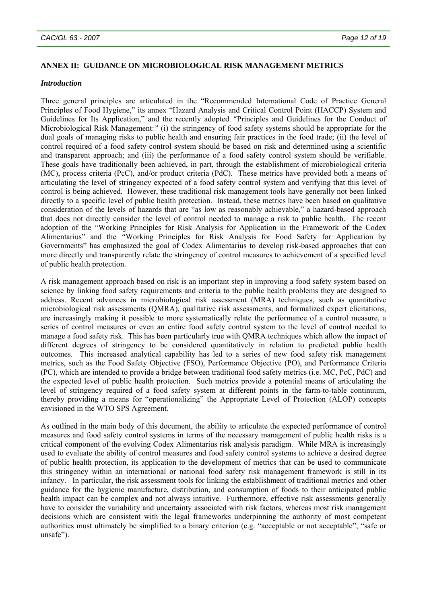### <span id="page-11-0"></span>**ANNEX II: GUIDANCE ON MICROBIOLOGICAL RISK MANAGEMENT METRICS**

#### *Introduction*

Three general principles are articulated in the "Recommended International Code of Practice General Principles of Food Hygiene," its annex "Hazard Analysis and Critical Control Point (HACCP) System and Guidelines for Its Application," and the recently adopted *"*Principles and Guidelines for the Conduct of Microbiological Risk Management:*"* (i) the stringency of food safety systems should be appropriate for the dual goals of managing risks to public health and ensuring fair practices in the food trade; (ii) the level of control required of a food safety control system should be based on risk and determined using a scientific and transparent approach; and (iii) the performance of a food safety control system should be verifiable. These goals have traditionally been achieved, in part, through the establishment of microbiological criteria (MC), process criteria (PcC), and/or product criteria (PdC). These metrics have provided both a means of articulating the level of stringency expected of a food safety control system and verifying that this level of control is being achieved. However, these traditional risk management tools have generally not been linked directly to a specific level of public health protection. Instead, these metrics have been based on qualitative consideration of the levels of hazards that are "as low as reasonably achievable," a hazard-based approach that does not directly consider the level of control needed to manage a risk to public health. The recent adoption of the "Working Principles for Risk Analysis for Application in the Framework of the Codex Alimentarius" and the *"*Working Principles for Risk Analysis for Food Safety for Application by Governments" has emphasized the goal of Codex Alimentarius to develop risk-based approaches that can more directly and transparently relate the stringency of control measures to achievement of a specified level of public health protection.

A risk management approach based on risk is an important step in improving a food safety system based on science by linking food safety requirements and criteria to the public health problems they are designed to address. Recent advances in microbiological risk assessment (MRA) techniques, such as quantitative microbiological risk assessments (QMRA), qualitative risk assessments, and formalized expert elicitations, are increasingly making it possible to more systematically relate the performance of a control measure, a series of control measures or even an entire food safety control system to the level of control needed to manage a food safety risk. This has been particularly true with QMRA techniques which allow the impact of different degrees of stringency to be considered quantitatively in relation to predicted public health outcomes. This increased analytical capability has led to a series of new food safety risk management metrics, such as the Food Safety Objective (FSO), Performance Objective (PO), and Performance Criteria (PC), which are intended to provide a bridge between traditional food safety metrics (i.e. MC, PcC, PdC) and the expected level of public health protection. Such metrics provide a potential means of articulating the level of stringency required of a food safety system at different points in the farm-to-table continuum, thereby providing a means for "operationalizing" the Appropriate Level of Protection (ALOP) concepts envisioned in the WTO SPS Agreement.

As outlined in the main body of this document, the ability to articulate the expected performance of control measures and food safety control systems in terms of the necessary management of public health risks is a critical component of the evolving Codex Alimentarius risk analysis paradigm. While MRA is increasingly used to evaluate the ability of control measures and food safety control systems to achieve a desired degree of public health protection, its application to the development of metrics that can be used to communicate this stringency within an international or national food safety risk management framework is still in its infancy. In particular, the risk assessment tools for linking the establishment of traditional metrics and other guidance for the hygienic manufacture, distribution, and consumption of foods to their anticipated public health impact can be complex and not always intuitive. Furthermore, effective risk assessments generally have to consider the variability and uncertainty associated with risk factors, whereas most risk management decisions which are consistent with the legal frameworks underpinning the authority of most competent authorities must ultimately be simplified to a binary criterion (e.g. "acceptable or not acceptable", "safe or unsafe").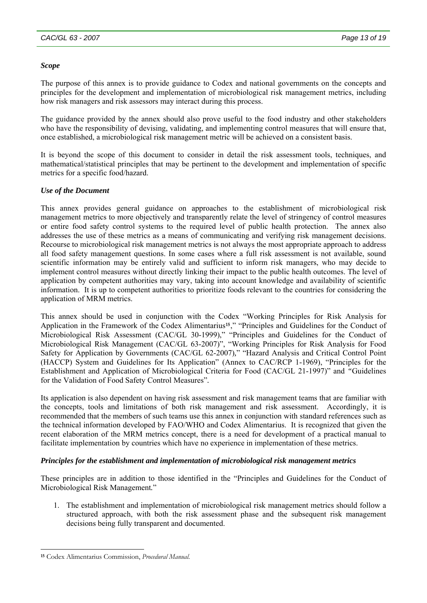#### *Scope*

The purpose of this annex is to provide guidance to Codex and national governments on the concepts and principles for the development and implementation of microbiological risk management metrics, including how risk managers and risk assessors may interact during this process.

The guidance provided by the annex should also prove useful to the food industry and other stakeholders who have the responsibility of devising, validating, and implementing control measures that will ensure that, once established, a microbiological risk management metric will be achieved on a consistent basis.

It is beyond the scope of this document to consider in detail the risk assessment tools, techniques, and mathematical/statistical principles that may be pertinent to the development and implementation of specific metrics for a specific food/hazard.

### *Use of the Document*

This annex provides general guidance on approaches to the establishment of microbiological risk management metrics to more objectively and transparently relate the level of stringency of control measures or entire food safety control systems to the required level of public health protection. The annex also addresses the use of these metrics as a means of communicating and verifying risk management decisions. Recourse to microbiological risk management metrics is not always the most appropriate approach to address all food safety management questions. In some cases where a full risk assessment is not available, sound scientific information may be entirely valid and sufficient to inform risk managers, who may decide to implement control measures without directly linking their impact to the public health outcomes. The level of application by competent authorities may vary, taking into account knowledge and availability of scientific information. It is up to competent authorities to prioritize foods relevant to the countries for considering the application of MRM metrics.

This annex should be used in conjunction with the Codex "Working Principles for Risk Analysis for Application in the Framework of the Codex Alimentarius**[15](#page-12-0)**," "Principles and Guidelines for the Conduct of Microbiological Risk Assessment (CAC/GL 30-1999)," "Principles and Guidelines for the Conduct of Microbiological Risk Management (CAC/GL 63-2007)", "Working Principles for Risk Analysis for Food Safety for Application by Governments (CAC/GL 62-2007)*,*" "Hazard Analysis and Critical Control Point (HACCP) System and Guidelines for Its Application" (Annex to CAC/RCP 1-1969), "Principles for the Establishment and Application of Microbiological Criteria for Food (CAC/GL 21-1997)" and *"*Guidelines for the Validation of Food Safety Control Measures"*.*

Its application is also dependent on having risk assessment and risk management teams that are familiar with the concepts, tools and limitations of both risk management and risk assessment. Accordingly, it is recommended that the members of such teams use this annex in conjunction with standard references such as the technical information developed by FAO/WHO and Codex Alimentarius. It is recognized that given the recent elaboration of the MRM metrics concept, there is a need for development of a practical manual to facilitate implementation by countries which have no experience in implementation of these metrics.

#### *Principles for the establishment and implementation of microbiological risk management metrics*

These principles are in addition to those identified in the "Principles and Guidelines for the Conduct of Microbiological Risk Management*.*"

1. The establishment and implementation of microbiological risk management metrics should follow a structured approach, with both the risk assessment phase and the subsequent risk management decisions being fully transparent and documented.

 $\overline{a}$ 

<span id="page-12-0"></span>**<sup>15</sup>** Codex Alimentarius Commission, *Procedural Manual.*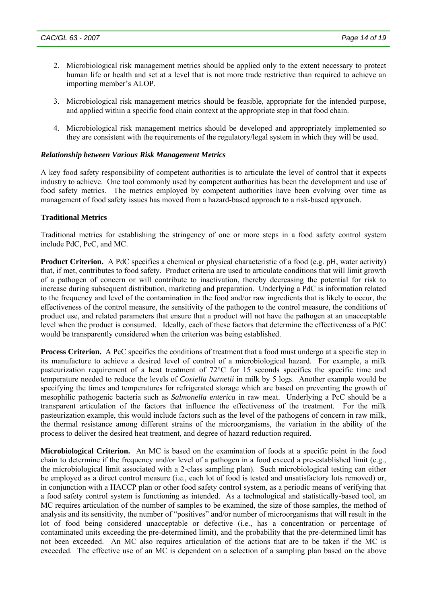- 2. Microbiological risk management metrics should be applied only to the extent necessary to protect human life or health and set at a level that is not more trade restrictive than required to achieve an importing member's ALOP.
- 3. Microbiological risk management metrics should be feasible, appropriate for the intended purpose, and applied within a specific food chain context at the appropriate step in that food chain.
- 4. Microbiological risk management metrics should be developed and appropriately implemented so they are consistent with the requirements of the regulatory/legal system in which they will be used.

#### *Relationship between Various Risk Management Metrics*

A key food safety responsibility of competent authorities is to articulate the level of control that it expects industry to achieve. One tool commonly used by competent authorities has been the development and use of food safety metrics. The metrics employed by competent authorities have been evolving over time as management of food safety issues has moved from a hazard-based approach to a risk-based approach.

#### **Traditional Metrics**

Traditional metrics for establishing the stringency of one or more steps in a food safety control system include PdC, PcC, and MC.

**Product Criterion.** A PdC specifies a chemical or physical characteristic of a food (e.g. pH, water activity) that, if met, contributes to food safety. Product criteria are used to articulate conditions that will limit growth of a pathogen of concern or will contribute to inactivation, thereby decreasing the potential for risk to increase during subsequent distribution, marketing and preparation. Underlying a PdC is information related to the frequency and level of the contamination in the food and/or raw ingredients that is likely to occur, the effectiveness of the control measure, the sensitivity of the pathogen to the control measure, the conditions of product use, and related parameters that ensure that a product will not have the pathogen at an unacceptable level when the product is consumed. Ideally, each of these factors that determine the effectiveness of a PdC would be transparently considered when the criterion was being established.

**Process Criterion.** A PcC specifies the conditions of treatment that a food must undergo at a specific step in its manufacture to achieve a desired level of control of a microbiological hazard. For example, a milk pasteurization requirement of a heat treatment of 72°C for 15 seconds specifies the specific time and temperature needed to reduce the levels of *Coxiella burnetii* in milk by 5 logs. Another example would be specifying the times and temperatures for refrigerated storage which are based on preventing the growth of mesophilic pathogenic bacteria such as *Salmonella enterica* in raw meat. Underlying a PcC should be a transparent articulation of the factors that influence the effectiveness of the treatment. For the milk pasteurization example, this would include factors such as the level of the pathogens of concern in raw milk, the thermal resistance among different strains of the microorganisms, the variation in the ability of the process to deliver the desired heat treatment, and degree of hazard reduction required.

**Microbiological Criterion.** An MC is based on the examination of foods at a specific point in the food chain to determine if the frequency and/or level of a pathogen in a food exceed a pre-established limit (e.g., the microbiological limit associated with a 2-class sampling plan). Such microbiological testing can either be employed as a direct control measure (i.e., each lot of food is tested and unsatisfactory lots removed) or, in conjunction with a HACCP plan or other food safety control system, as a periodic means of verifying that a food safety control system is functioning as intended. As a technological and statistically-based tool, an MC requires articulation of the number of samples to be examined, the size of those samples, the method of analysis and its sensitivity, the number of "positives" and/or number of microorganisms that will result in the lot of food being considered unacceptable or defective (i.e., has a concentration or percentage of contaminated units exceeding the pre-determined limit), and the probability that the pre-determined limit has not been exceeded. An MC also requires articulation of the actions that are to be taken if the MC is exceeded. The effective use of an MC is dependent on a selection of a sampling plan based on the above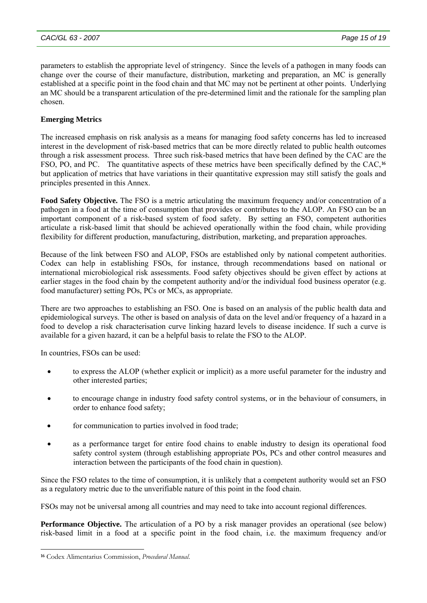parameters to establish the appropriate level of stringency. Since the levels of a pathogen in many foods can change over the course of their manufacture, distribution, marketing and preparation, an MC is generally established at a specific point in the food chain and that MC may not be pertinent at other points. Underlying an MC should be a transparent articulation of the pre-determined limit and the rationale for the sampling plan chosen.

# **Emerging Metrics**

The increased emphasis on risk analysis as a means for managing food safety concerns has led to increased interest in the development of risk-based metrics that can be more directly related to public health outcomes through a risk assessment process. Three such risk-based metrics that have been defined by the CAC are the FSO, PO, and PC. The quantitative aspects of these metrics have been specifically defined by the CAC,**[16](#page-14-0)** but application of metrics that have variations in their quantitative expression may still satisfy the goals and principles presented in this Annex.

**Food Safety Objective.** The FSO is a metric articulating the maximum frequency and/or concentration of a pathogen in a food at the time of consumption that provides or contributes to the ALOP. An FSO can be an important component of a risk-based system of food safety. By setting an FSO, competent authorities articulate a risk-based limit that should be achieved operationally within the food chain, while providing flexibility for different production, manufacturing, distribution, marketing, and preparation approaches.

Because of the link between FSO and ALOP, FSOs are established only by national competent authorities. Codex can help in establishing FSOs, for instance, through recommendations based on national or international microbiological risk assessments. Food safety objectives should be given effect by actions at earlier stages in the food chain by the competent authority and/or the individual food business operator (e.g. food manufacturer) setting POs, PCs or MCs, as appropriate.

There are two approaches to establishing an FSO. One is based on an analysis of the public health data and epidemiological surveys. The other is based on analysis of data on the level and/or frequency of a hazard in a food to develop a risk characterisation curve linking hazard levels to disease incidence. If such a curve is available for a given hazard, it can be a helpful basis to relate the FSO to the ALOP.

In countries, FSOs can be used:

- to express the ALOP (whether explicit or implicit) as a more useful parameter for the industry and other interested parties;
- to encourage change in industry food safety control systems, or in the behaviour of consumers, in order to enhance food safety;
- for communication to parties involved in food trade;
- as a performance target for entire food chains to enable industry to design its operational food safety control system (through establishing appropriate POs, PCs and other control measures and interaction between the participants of the food chain in question).

Since the FSO relates to the time of consumption, it is unlikely that a competent authority would set an FSO as a regulatory metric due to the unverifiable nature of this point in the food chain.

FSOs may not be universal among all countries and may need to take into account regional differences.

**Performance Objective.** The articulation of a PO by a risk manager provides an operational (see below) risk-based limit in a food at a specific point in the food chain, i.e. the maximum frequency and/or

l

<span id="page-14-0"></span>**<sup>16</sup>** Codex Alimentarius Commission, *Procedural Manual*.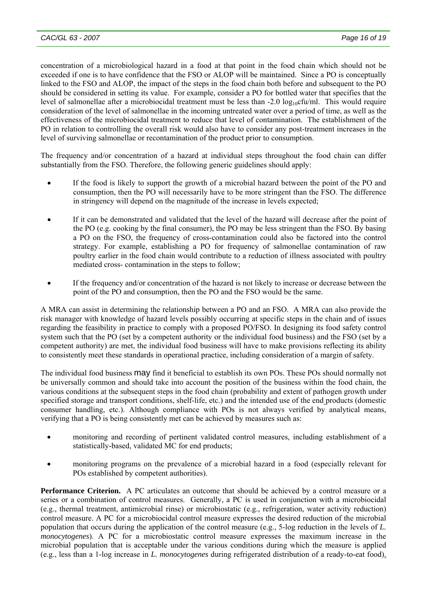concentration of a microbiological hazard in a food at that point in the food chain which should not be exceeded if one is to have confidence that the FSO or ALOP will be maintained. Since a PO is conceptually linked to the FSO and ALOP, the impact of the steps in the food chain both before and subsequent to the PO should be considered in setting its value. For example, consider a PO for bottled water that specifies that the level of salmonellae after a microbiocidal treatment must be less than -2.0 log<sub>10</sub>cfu/ml. This would require consideration of the level of salmonellae in the incoming untreated water over a period of time, as well as the effectiveness of the microbiocidal treatment to reduce that level of contamination. The establishment of the PO in relation to controlling the overall risk would also have to consider any post-treatment increases in the level of surviving salmonellae or recontamination of the product prior to consumption.

The frequency and/or concentration of a hazard at individual steps throughout the food chain can differ substantially from the FSO. Therefore, the following generic guidelines should apply:

- If the food is likely to support the growth of a microbial hazard between the point of the PO and consumption, then the PO will necessarily have to be more stringent than the FSO. The difference in stringency will depend on the magnitude of the increase in levels expected;
- If it can be demonstrated and validated that the level of the hazard will decrease after the point of the PO (e.g. cooking by the final consumer), the PO may be less stringent than the FSO. By basing a PO on the FSO, the frequency of cross-contamination could also be factored into the control strategy. For example, establishing a PO for frequency of salmonellae contamination of raw poultry earlier in the food chain would contribute to a reduction of illness associated with poultry mediated cross- contamination in the steps to follow;
- If the frequency and/or concentration of the hazard is not likely to increase or decrease between the point of the PO and consumption, then the PO and the FSO would be the same.

A MRA can assist in determining the relationship between a PO and an FSO. A MRA can also provide the risk manager with knowledge of hazard levels possibly occurring at specific steps in the chain and of issues regarding the feasibility in practice to comply with a proposed PO/FSO. In designing its food safety control system such that the PO (set by a competent authority or the individual food business) and the FSO (set by a competent authority) are met, the individual food business will have to make provisions reflecting its ability to consistently meet these standards in operational practice, including consideration of a margin of safety.

The individual food business may find it beneficial to establish its own POs. These POs should normally not be universally common and should take into account the position of the business within the food chain, the various conditions at the subsequent steps in the food chain (probability and extent of pathogen growth under specified storage and transport conditions, shelf-life, etc.) and the intended use of the end products (domestic consumer handling, etc.). Although compliance with POs is not always verified by analytical means, verifying that a PO is being consistently met can be achieved by measures such as:

- monitoring and recording of pertinent validated control measures, including establishment of a statistically-based, validated MC for end products;
- monitoring programs on the prevalence of a microbial hazard in a food (especially relevant for POs established by competent authorities).

**Performance Criterion.** A PC articulates an outcome that should be achieved by a control measure or a series or a combination of control measures. Generally, a PC is used in conjunction with a microbiocidal (e.g., thermal treatment, antimicrobial rinse) or microbiostatic (e.g., refrigeration, water activity reduction) control measure. A PC for a microbiocidal control measure expresses the desired reduction of the microbial population that occurs during the application of the control measure (e.g., 5-log reduction in the levels of *L. monocytogenes*). A PC for a microbiostatic control measure expresses the maximum increase in the microbial population that is acceptable under the various conditions during which the measure is applied (e.g., less than a 1-log increase in *L. monocytogenes* during refrigerated distribution of a ready-to-eat food).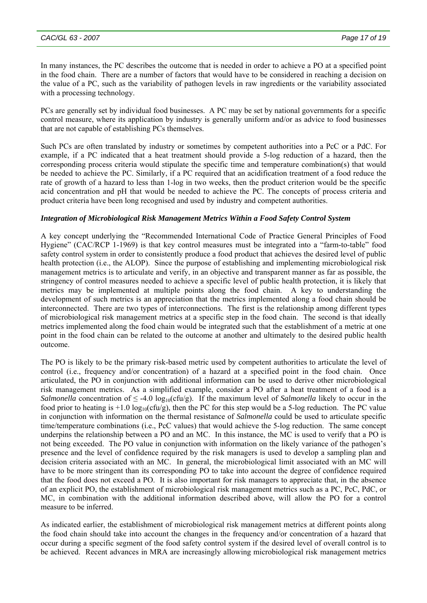In many instances, the PC describes the outcome that is needed in order to achieve a PO at a specified point in the food chain. There are a number of factors that would have to be considered in reaching a decision on the value of a PC, such as the variability of pathogen levels in raw ingredients or the variability associated with a processing technology.

PCs are generally set by individual food businesses. A PC may be set by national governments for a specific control measure, where its application by industry is generally uniform and/or as advice to food businesses that are not capable of establishing PCs themselves.

Such PCs are often translated by industry or sometimes by competent authorities into a PcC or a PdC. For example, if a PC indicated that a heat treatment should provide a 5-log reduction of a hazard, then the corresponding process criteria would stipulate the specific time and temperature combination(s) that would be needed to achieve the PC. Similarly, if a PC required that an acidification treatment of a food reduce the rate of growth of a hazard to less than 1-log in two weeks, then the product criterion would be the specific acid concentration and pH that would be needed to achieve the PC. The concepts of process criteria and product criteria have been long recognised and used by industry and competent authorities.

### *Integration of Microbiological Risk Management Metrics Within a Food Safety Control System*

A key concept underlying the "Recommended International Code of Practice General Principles of Food Hygiene" (CAC/RCP 1-1969) is that key control measures must be integrated into a "farm-to-table" food safety control system in order to consistently produce a food product that achieves the desired level of public health protection (i.e., the ALOP). Since the purpose of establishing and implementing microbiological risk management metrics is to articulate and verify, in an objective and transparent manner as far as possible, the stringency of control measures needed to achieve a specific level of public health protection, it is likely that metrics may be implemented at multiple points along the food chain. A key to understanding the development of such metrics is an appreciation that the metrics implemented along a food chain should be interconnected. There are two types of interconnections. The first is the relationship among different types of microbiological risk management metrics at a specific step in the food chain. The second is that ideally metrics implemented along the food chain would be integrated such that the establishment of a metric at one point in the food chain can be related to the outcome at another and ultimately to the desired public health outcome.

The PO is likely to be the primary risk-based metric used by competent authorities to articulate the level of control (i.e., frequency and/or concentration) of a hazard at a specified point in the food chain. Once articulated, the PO in conjunction with additional information can be used to derive other microbiological risk management metrics. As a simplified example, consider a PO after a heat treatment of a food is a *Salmonella* concentration of  $\leq$  -4.0 log<sub>10</sub>(cfu/g). If the maximum level of *Salmonella* likely to occur in the food prior to heating is  $+1.0 \log_{10}(\text{ctu/g})$ , then the PC for this step would be a 5-log reduction. The PC value in conjunction with information on the thermal resistance of *Salmonella* could be used to articulate specific time/temperature combinations (i.e., PcC values) that would achieve the 5-log reduction. The same concept underpins the relationship between a PO and an MC. In this instance, the MC is used to verify that a PO is not being exceeded. The PO value in conjunction with information on the likely variance of the pathogen's presence and the level of confidence required by the risk managers is used to develop a sampling plan and decision criteria associated with an MC. In general, the microbiological limit associated with an MC will have to be more stringent than its corresponding PO to take into account the degree of confidence required that the food does not exceed a PO. It is also important for risk managers to appreciate that, in the absence of an explicit PO, the establishment of microbiological risk management metrics such as a PC, PcC, PdC, or MC, in combination with the additional information described above, will allow the PO for a control measure to be inferred.

As indicated earlier, the establishment of microbiological risk management metrics at different points along the food chain should take into account the changes in the frequency and/or concentration of a hazard that occur during a specific segment of the food safety control system if the desired level of overall control is to be achieved. Recent advances in MRA are increasingly allowing microbiological risk management metrics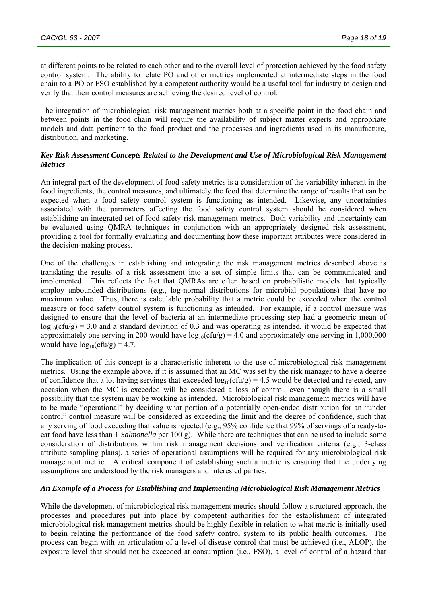at different points to be related to each other and to the overall level of protection achieved by the food safety control system. The ability to relate PO and other metrics implemented at intermediate steps in the food chain to a PO or FSO established by a competent authority would be a useful tool for industry to design and verify that their control measures are achieving the desired level of control.

The integration of microbiological risk management metrics both at a specific point in the food chain and between points in the food chain will require the availability of subject matter experts and appropriate models and data pertinent to the food product and the processes and ingredients used in its manufacture, distribution, and marketing.

### *Key Risk Assessment Concepts Related to the Development and Use of Microbiological Risk Management Metrics*

An integral part of the development of food safety metrics is a consideration of the variability inherent in the food ingredients, the control measures, and ultimately the food that determine the range of results that can be expected when a food safety control system is functioning as intended. Likewise, any uncertainties associated with the parameters affecting the food safety control system should be considered when establishing an integrated set of food safety risk management metrics. Both variability and uncertainty can be evaluated using QMRA techniques in conjunction with an appropriately designed risk assessment, providing a tool for formally evaluating and documenting how these important attributes were considered in the decision-making process.

One of the challenges in establishing and integrating the risk management metrics described above is translating the results of a risk assessment into a set of simple limits that can be communicated and implemented. This reflects the fact that QMRAs are often based on probabilistic models that typically employ unbounded distributions (e.g., log-normal distributions for microbial populations) that have no maximum value. Thus, there is calculable probability that a metric could be exceeded when the control measure or food safety control system is functioning as intended. For example, if a control measure was designed to ensure that the level of bacteria at an intermediate processing step had a geometric mean of  $log_{10}(cfu/g) = 3.0$  and a standard deviation of 0.3 and was operating as intended, it would be expected that approximately one serving in 200 would have  $log_{10}(c f u/g) = 4.0$  and approximately one serving in 1,000,000 would have  $log_{10}(c\text{fu/g}) = 4.7$ .

The implication of this concept is a characteristic inherent to the use of microbiological risk management metrics. Using the example above, if it is assumed that an MC was set by the risk manager to have a degree of confidence that a lot having servings that exceeded  $log_{10}(c f u/g) = 4.5$  would be detected and rejected, any occasion when the MC is exceeded will be considered a loss of control, even though there is a small possibility that the system may be working as intended. Microbiological risk management metrics will have to be made "operational" by deciding what portion of a potentially open-ended distribution for an "under control" control measure will be considered as exceeding the limit and the degree of confidence, such that any serving of food exceeding that value is rejected (e.g., 95% confidence that 99% of servings of a ready-toeat food have less than 1 *Salmonella* per 100 g). While there are techniques that can be used to include some consideration of distributions within risk management decisions and verification criteria (e.g., 3-class attribute sampling plans), a series of operational assumptions will be required for any microbiological risk management metric. A critical component of establishing such a metric is ensuring that the underlying assumptions are understood by the risk managers and interested parties.

# *An Example of a Process for Establishing and Implementing Microbiological Risk Management Metrics*

While the development of microbiological risk management metrics should follow a structured approach, the processes and procedures put into place by competent authorities for the establishment of integrated microbiological risk management metrics should be highly flexible in relation to what metric is initially used to begin relating the performance of the food safety control system to its public health outcomes. The process can begin with an articulation of a level of disease control that must be achieved (i.e., ALOP), the exposure level that should not be exceeded at consumption (i.e., FSO), a level of control of a hazard that